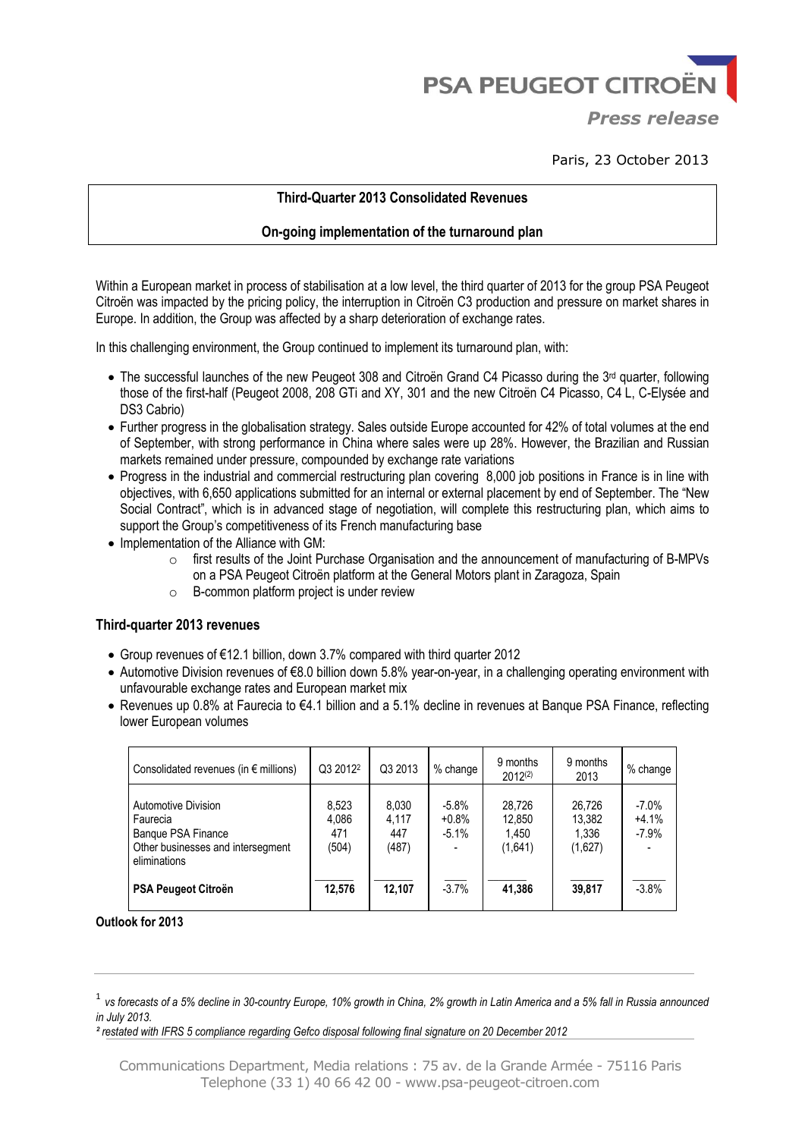**PSA PEUGEOT CITROËN** 

*Press release*

Paris, 23 October 2013

# **Third-Quarter 2013 Consolidated Revenues**

# **On-going implementation of the turnaround plan**

Within a European market in process of stabilisation at a low level, the third quarter of 2013 for the group PSA Peugeot Citroën was impacted by the pricing policy, the interruption in Citroën C3 production and pressure on market shares in Europe. In addition, the Group was affected by a sharp deterioration of exchange rates.

In this challenging environment, the Group continued to implement its turnaround plan, with:

- The successful launches of the new Peugeot 308 and Citroën Grand C4 Picasso during the 3rd quarter, following those of the first-half (Peugeot 2008, 208 GTi and XY, 301 and the new Citroën C4 Picasso, C4 L, C-Elysée and DS3 Cabrio)
- Further progress in the globalisation strategy. Sales outside Europe accounted for 42% of total volumes at the end of September, with strong performance in China where sales were up 28%. However, the Brazilian and Russian markets remained under pressure, compounded by exchange rate variations
- Progress in the industrial and commercial restructuring plan covering 8,000 job positions in France is in line with objectives, with 6,650 applications submitted for an internal or external placement by end of September. The "New Social Contract", which is in advanced stage of negotiation, will complete this restructuring plan, which aims to support the Group's competitiveness of its French manufacturing base
- Implementation of the Alliance with GM:
	- $\circ$  first results of the Joint Purchase Organisation and the announcement of manufacturing of B-MPVs on a PSA Peugeot Citroën platform at the General Motors plant in Zaragoza, Spain
	- o B-common platform project is under review

## **Third-quarter 2013 revenues**

- Group revenues of €12.1 billion, down 3.7% compared with third quarter 2012
- Automotive Division revenues of €8.0 billion down 5.8% year-on-year, in a challenging operating environment with unfavourable exchange rates and European market mix
- Revenues up 0.8% at Faurecia to €4.1 billion and a 5.1% decline in revenues at Banque PSA Finance, reflecting lower European volumes

| Consolidated revenues (in $\epsilon$ millions)                                                             | Q3 2012 <sup>2</sup>           | Q3 2013                        | % change                      | 9 months<br>$2012^{(2)}$             | 9 months<br>2013                     | % change                        |
|------------------------------------------------------------------------------------------------------------|--------------------------------|--------------------------------|-------------------------------|--------------------------------------|--------------------------------------|---------------------------------|
| Automotive Division<br>Faurecia<br>Banque PSA Finance<br>Other businesses and intersegment<br>eliminations | 8.523<br>4,086<br>471<br>(504) | 8,030<br>4.117<br>447<br>(487) | $-5.8%$<br>$+0.8%$<br>$-5.1%$ | 28.726<br>12.850<br>1,450<br>(1,641) | 26.726<br>13.382<br>1.336<br>(1,627) | $-7.0\%$<br>$+4.1%$<br>$-7.9\%$ |
| PSA Peugeot Citroën                                                                                        | 12.576                         | 12.107                         | $-3.7%$                       | 41.386                               | 39,817                               | $-3.8%$                         |

**Outlook for 2013**

*² restated with IFRS 5 compliance regarding Gefco disposal following final signature on 20 December 2012* 

<sup>&</sup>lt;sup>1</sup> vs forecasts of a 5% decline in 30-country Europe, 10% growth in China, 2% growth in Latin America and a 5% fall in Russia announced *in July 2013.*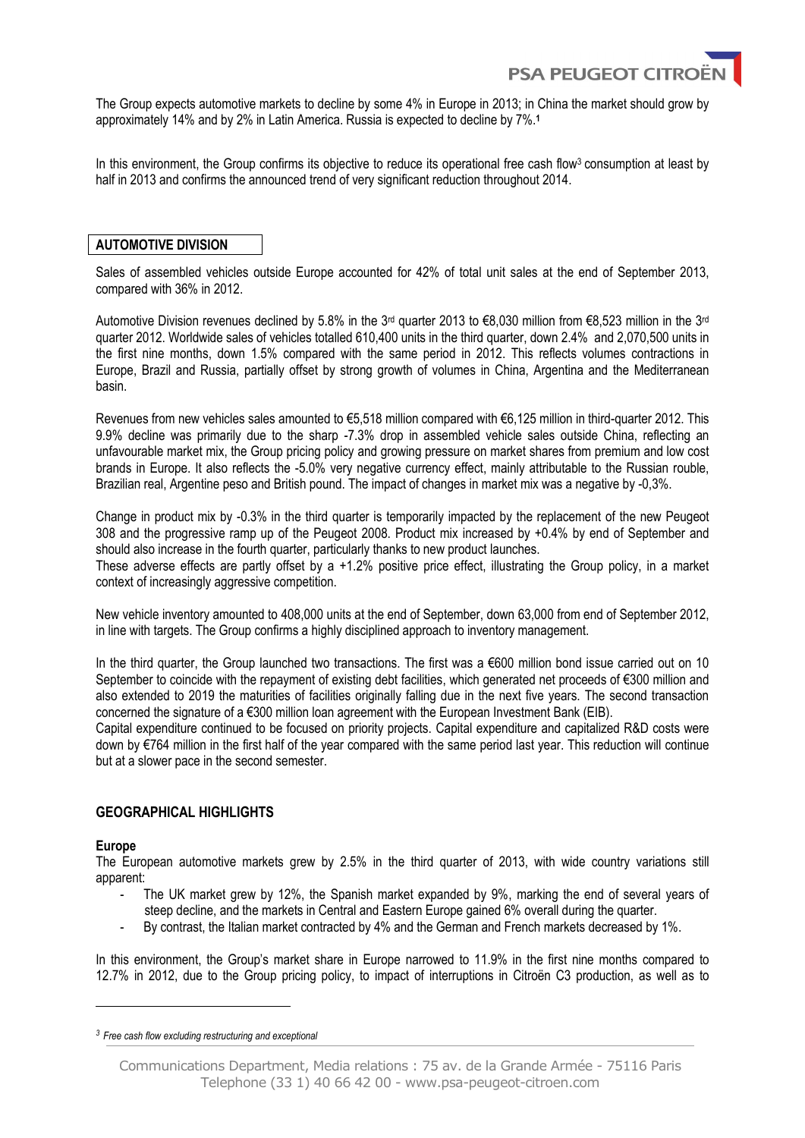

The Group expects automotive markets to decline by some 4% in Europe in 2013; in China the market should grow by approximately 14% and by 2% in Latin America. Russia is expected to decline by 7%. **1**

In this environment, the Group confirms its objective to reduce its operational free cash flow3 consumption at least by half in 2013 and confirms the announced trend of very significant reduction throughout 2014.

#### **AUTOMOTIVE DIVISION**

Sales of assembled vehicles outside Europe accounted for 42% of total unit sales at the end of September 2013, compared with 36% in 2012.

Automotive Division revenues declined by 5.8% in the 3<sup>rd</sup> quarter 2013 to €8,030 million from €8,523 million in the 3<sup>rd</sup> quarter 2012. Worldwide sales of vehicles totalled 610,400 units in the third quarter, down 2.4% and 2,070,500 units in the first nine months, down 1.5% compared with the same period in 2012. This reflects volumes contractions in Europe, Brazil and Russia, partially offset by strong growth of volumes in China, Argentina and the Mediterranean basin.

Revenues from new vehicles sales amounted to €5,518 million compared with €6,125 million in third-quarter 2012. This 9.9% decline was primarily due to the sharp -7.3% drop in assembled vehicle sales outside China, reflecting an unfavourable market mix, the Group pricing policy and growing pressure on market shares from premium and low cost brands in Europe. It also reflects the -5.0% very negative currency effect, mainly attributable to the Russian rouble, Brazilian real, Argentine peso and British pound. The impact of changes in market mix was a negative by -0,3%.

Change in product mix by -0.3% in the third quarter is temporarily impacted by the replacement of the new Peugeot 308 and the progressive ramp up of the Peugeot 2008. Product mix increased by +0.4% by end of September and should also increase in the fourth quarter, particularly thanks to new product launches.

These adverse effects are partly offset by a +1.2% positive price effect, illustrating the Group policy, in a market context of increasingly aggressive competition.

New vehicle inventory amounted to 408,000 units at the end of September, down 63,000 from end of September 2012, in line with targets. The Group confirms a highly disciplined approach to inventory management.

In the third quarter, the Group launched two transactions. The first was a €600 million bond issue carried out on 10 September to coincide with the repayment of existing debt facilities, which generated net proceeds of €300 million and also extended to 2019 the maturities of facilities originally falling due in the next five years. The second transaction concerned the signature of a €300 million loan agreement with the European Investment Bank (EIB).

Capital expenditure continued to be focused on priority projects. Capital expenditure and capitalized R&D costs were down by €764 million in the first half of the year compared with the same period last year. This reduction will continue but at a slower pace in the second semester.

## **GEOGRAPHICAL HIGHLIGHTS**

#### **Europe**

 $\overline{a}$ 

The European automotive markets grew by 2.5% in the third quarter of 2013, with wide country variations still apparent:

- The UK market grew by 12%, the Spanish market expanded by 9%, marking the end of several years of steep decline, and the markets in Central and Eastern Europe gained 6% overall during the quarter.
- By contrast, the Italian market contracted by 4% and the German and French markets decreased by 1%.

In this environment, the Group's market share in Europe narrowed to 11.9% in the first nine months compared to 12.7% in 2012, due to the Group pricing policy, to impact of interruptions in Citroën C3 production, as well as to

*<sup>3</sup>Free cash flow excluding restructuring and exceptional*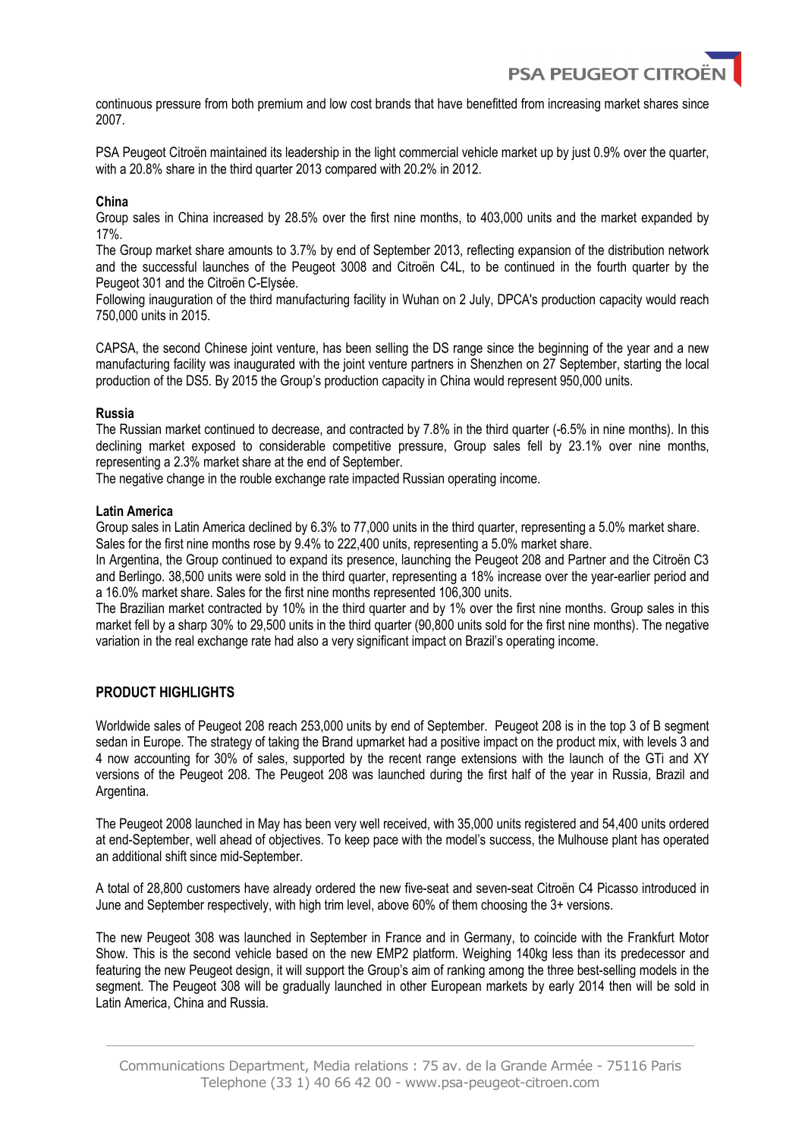**PSA PEUGEOT CITI** 

continuous pressure from both premium and low cost brands that have benefitted from increasing market shares since 2007.

PSA Peugeot Citroën maintained its leadership in the light commercial vehicle market up by just 0.9% over the quarter, with a 20.8% share in the third quarter 2013 compared with 20.2% in 2012.

## **China**

Group sales in China increased by 28.5% over the first nine months, to 403,000 units and the market expanded by 17%.

The Group market share amounts to 3.7% by end of September 2013, reflecting expansion of the distribution network and the successful launches of the Peugeot 3008 and Citroën C4L, to be continued in the fourth quarter by the Peugeot 301 and the Citroën C-Elysée.

Following inauguration of the third manufacturing facility in Wuhan on 2 July, DPCA's production capacity would reach 750,000 units in 2015.

CAPSA, the second Chinese joint venture, has been selling the DS range since the beginning of the year and a new manufacturing facility was inaugurated with the joint venture partners in Shenzhen on 27 September, starting the local production of the DS5. By 2015 the Group's production capacity in China would represent 950,000 units.

## **Russia**

The Russian market continued to decrease, and contracted by 7.8% in the third quarter (-6.5% in nine months). In this declining market exposed to considerable competitive pressure, Group sales fell by 23.1% over nine months, representing a 2.3% market share at the end of September.

The negative change in the rouble exchange rate impacted Russian operating income.

#### **Latin America**

Group sales in Latin America declined by 6.3% to 77,000 units in the third quarter, representing a 5.0% market share. Sales for the first nine months rose by 9.4% to 222,400 units, representing a 5.0% market share.

In Argentina, the Group continued to expand its presence, launching the Peugeot 208 and Partner and the Citroën C3 and Berlingo. 38,500 units were sold in the third quarter, representing a 18% increase over the year-earlier period and a 16.0% market share. Sales for the first nine months represented 106,300 units.

The Brazilian market contracted by 10% in the third quarter and by 1% over the first nine months. Group sales in this market fell by a sharp 30% to 29,500 units in the third quarter (90,800 units sold for the first nine months). The negative variation in the real exchange rate had also a very significant impact on Brazil's operating income.

# **PRODUCT HIGHLIGHTS**

Worldwide sales of Peugeot 208 reach 253,000 units by end of September. Peugeot 208 is in the top 3 of B segment sedan in Europe. The strategy of taking the Brand upmarket had a positive impact on the product mix, with levels 3 and 4 now accounting for 30% of sales, supported by the recent range extensions with the launch of the GTi and XY versions of the Peugeot 208. The Peugeot 208 was launched during the first half of the year in Russia, Brazil and Argentina.

The Peugeot 2008 launched in May has been very well received, with 35,000 units registered and 54,400 units ordered at end-September, well ahead of objectives. To keep pace with the model's success, the Mulhouse plant has operated an additional shift since mid-September.

A total of 28,800 customers have already ordered the new five-seat and seven-seat Citroën C4 Picasso introduced in June and September respectively, with high trim level, above 60% of them choosing the 3+ versions.

The new Peugeot 308 was launched in September in France and in Germany, to coincide with the Frankfurt Motor Show. This is the second vehicle based on the new EMP2 platform. Weighing 140kg less than its predecessor and featuring the new Peugeot design, it will support the Group's aim of ranking among the three best-selling models in the segment. The Peugeot 308 will be gradually launched in other European markets by early 2014 then will be sold in Latin America, China and Russia.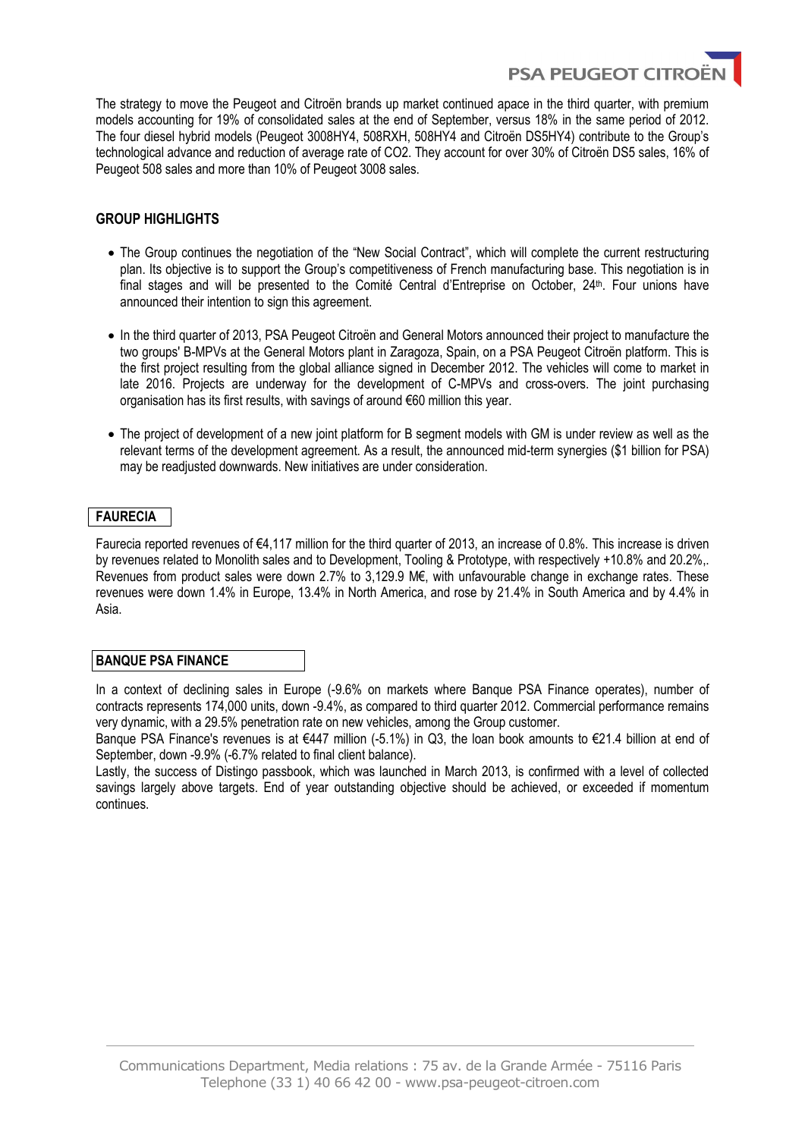The strategy to move the Peugeot and Citroën brands up market continued apace in the third quarter, with premium models accounting for 19% of consolidated sales at the end of September, versus 18% in the same period of 2012. The four diesel hybrid models (Peugeot 3008HY4, 508RXH, 508HY4 and Citroën DS5HY4) contribute to the Group's technological advance and reduction of average rate of CO2. They account for over 30% of Citroën DS5 sales, 16% of Peugeot 508 sales and more than 10% of Peugeot 3008 sales.

**PSA PEUGEOT CITRO** 

# **GROUP HIGHLIGHTS**

- The Group continues the negotiation of the "New Social Contract", which will complete the current restructuring plan. Its objective is to support the Group's competitiveness of French manufacturing base. This negotiation is in final stages and will be presented to the Comité Central d'Entreprise on October, 24<sup>th</sup>. Four unions have announced their intention to sign this agreement.
- In the third quarter of 2013, PSA Peugeot Citroën and General Motors announced their project to manufacture the two groups' B-MPVs at the General Motors plant in Zaragoza, Spain, on a PSA Peugeot Citroën platform. This is the first project resulting from the global alliance signed in December 2012. The vehicles will come to market in late 2016. Projects are underway for the development of C-MPVs and cross-overs. The joint purchasing organisation has its first results, with savings of around €60 million this year.
- The project of development of a new joint platform for B segment models with GM is under review as well as the relevant terms of the development agreement. As a result, the announced mid-term synergies (\$1 billion for PSA) may be readjusted downwards. New initiatives are under consideration.

# **FAURECIA**

Faurecia reported revenues of €4,117 million for the third quarter of 2013, an increase of 0.8%. This increase is driven by revenues related to Monolith sales and to Development, Tooling & Prototype, with respectively +10.8% and 20.2%,. Revenues from product sales were down 2.7% to 3,129.9 M€, with unfavourable change in exchange rates. These revenues were down 1.4% in Europe, 13.4% in North America, and rose by 21.4% in South America and by 4.4% in Asia.

## **BANQUE PSA FINANCE**

In a context of declining sales in Europe (-9.6% on markets where Banque PSA Finance operates), number of contracts represents 174,000 units, down -9.4%, as compared to third quarter 2012. Commercial performance remains very dynamic, with a 29.5% penetration rate on new vehicles, among the Group customer.

Banque PSA Finance's revenues is at €447 million (-5.1%) in Q3, the loan book amounts to €21.4 billion at end of September, down -9.9% (-6.7% related to final client balance).

Lastly, the success of Distingo passbook, which was launched in March 2013, is confirmed with a level of collected savings largely above targets. End of year outstanding objective should be achieved, or exceeded if momentum continues.